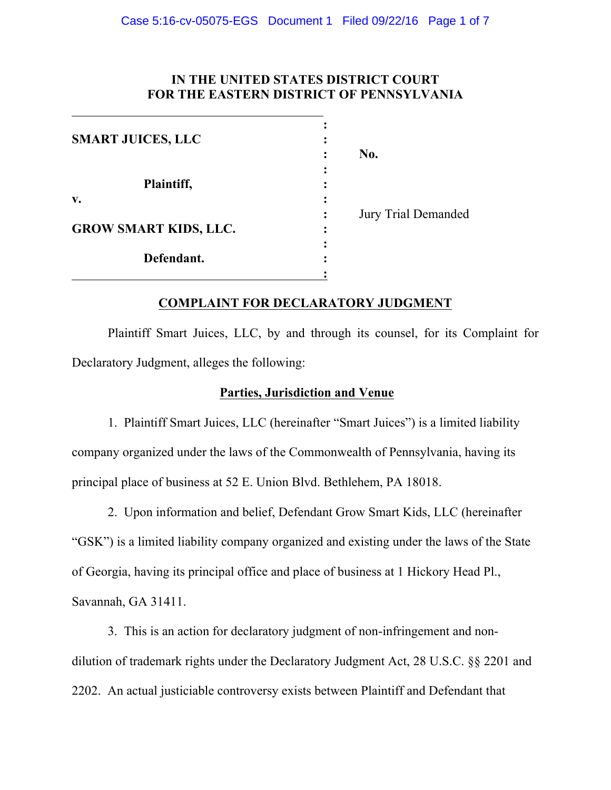# **IN THE UNITED STATES DISTRICT COURT FOR THE EASTERN DISTRICT OF PENNSYLVANIA**

| <b>SMART JUICES, LLC</b>     | No. |                            |
|------------------------------|-----|----------------------------|
| Plaintiff,                   |     |                            |
| V.                           |     |                            |
| <b>GROW SMART KIDS, LLC.</b> |     | <b>Jury Trial Demanded</b> |
| Defendant.                   |     |                            |
|                              |     |                            |

# **COMPLAINT FOR DECLARATORY JUDGMENT**

Plaintiff Smart Juices, LLC, by and through its counsel, for its Complaint for Declaratory Judgment, alleges the following:

## **Parties, Jurisdiction and Venue**

1. Plaintiff Smart Juices, LLC (hereinafter "Smart Juices") is a limited liability company organized under the laws of the Commonwealth of Pennsylvania, having its principal place of business at 52 E. Union Blvd. Bethlehem, PA 18018.

2. Upon information and belief, Defendant Grow Smart Kids, LLC (hereinafter "GSK") is a limited liability company organized and existing under the laws of the State of Georgia, having its principal office and place of business at 1 Hickory Head Pl., Savannah, GA 31411.

3. This is an action for declaratory judgment of non-infringement and nondilution of trademark rights under the Declaratory Judgment Act, 28 U.S.C. §§ 2201 and 2202. An actual justiciable controversy exists between Plaintiff and Defendant that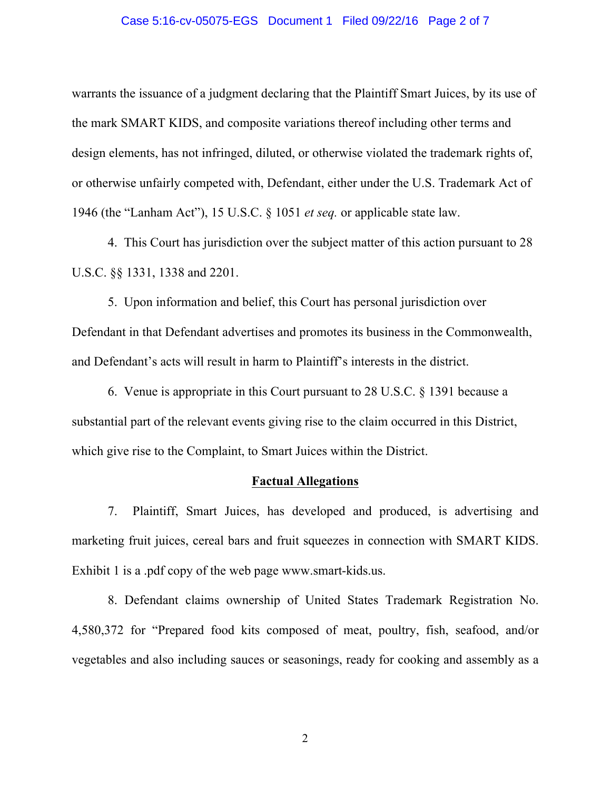#### Case 5:16-cv-05075-EGS Document 1 Filed 09/22/16 Page 2 of 7

warrants the issuance of a judgment declaring that the Plaintiff Smart Juices, by its use of the mark SMART KIDS, and composite variations thereof including other terms and design elements, has not infringed, diluted, or otherwise violated the trademark rights of, or otherwise unfairly competed with, Defendant, either under the U.S. Trademark Act of 1946 (the "Lanham Act"), 15 U.S.C. § 1051 *et seq.* or applicable state law.

4. This Court has jurisdiction over the subject matter of this action pursuant to 28 U.S.C. §§ 1331, 1338 and 2201.

5. Upon information and belief, this Court has personal jurisdiction over Defendant in that Defendant advertises and promotes its business in the Commonwealth, and Defendant's acts will result in harm to Plaintiff's interests in the district.

6. Venue is appropriate in this Court pursuant to 28 U.S.C. § 1391 because a substantial part of the relevant events giving rise to the claim occurred in this District, which give rise to the Complaint, to Smart Juices within the District.

## **Factual Allegations**

7. Plaintiff, Smart Juices, has developed and produced, is advertising and marketing fruit juices, cereal bars and fruit squeezes in connection with SMART KIDS. Exhibit 1 is a .pdf copy of the web page www.smart-kids.us.

8. Defendant claims ownership of United States Trademark Registration No. 4,580,372 for "Prepared food kits composed of meat, poultry, fish, seafood, and/or vegetables and also including sauces or seasonings, ready for cooking and assembly as a

2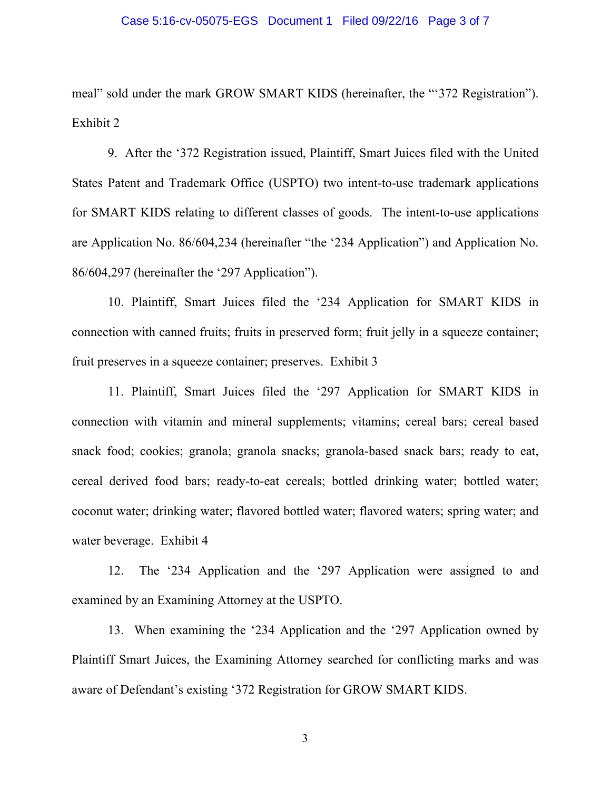#### Case 5:16-cv-05075-EGS Document 1 Filed 09/22/16 Page 3 of 7

meal" sold under the mark GROW SMART KIDS (hereinafter, the "'372 Registration"). Exhibit 2

9. After the '372 Registration issued, Plaintiff, Smart Juices filed with the United States Patent and Trademark Office (USPTO) two intent-to-use trademark applications for SMART KIDS relating to different classes of goods. The intent-to-use applications are Application No. 86/604,234 (hereinafter "the '234 Application") and Application No. 86/604,297 (hereinafter the '297 Application").

10. Plaintiff, Smart Juices filed the '234 Application for SMART KIDS in connection with canned fruits; fruits in preserved form; fruit jelly in a squeeze container; fruit preserves in a squeeze container; preserves. Exhibit 3

11. Plaintiff, Smart Juices filed the '297 Application for SMART KIDS in connection with vitamin and mineral supplements; vitamins; cereal bars; cereal based snack food; cookies; granola; granola snacks; granola-based snack bars; ready to eat, cereal derived food bars; ready-to-eat cereals; bottled drinking water; bottled water; coconut water; drinking water; flavored bottled water; flavored waters; spring water; and water beverage. Exhibit 4

12. The '234 Application and the '297 Application were assigned to and examined by an Examining Attorney at the USPTO.

13. When examining the '234 Application and the '297 Application owned by Plaintiff Smart Juices, the Examining Attorney searched for conflicting marks and was aware of Defendant's existing '372 Registration for GROW SMART KIDS.

3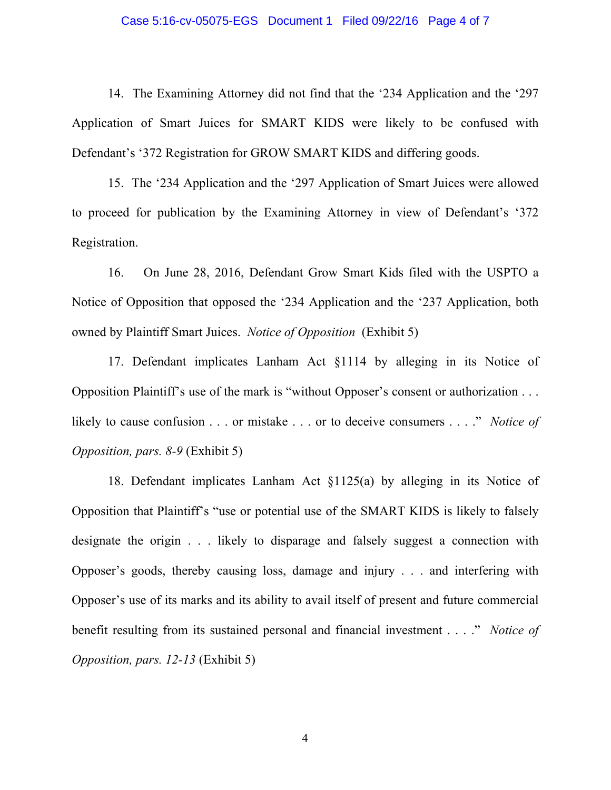#### Case 5:16-cv-05075-EGS Document 1 Filed 09/22/16 Page 4 of 7

14. The Examining Attorney did not find that the '234 Application and the '297 Application of Smart Juices for SMART KIDS were likely to be confused with Defendant's '372 Registration for GROW SMART KIDS and differing goods.

15. The '234 Application and the '297 Application of Smart Juices were allowed to proceed for publication by the Examining Attorney in view of Defendant's '372 Registration.

16. On June 28, 2016, Defendant Grow Smart Kids filed with the USPTO a Notice of Opposition that opposed the '234 Application and the '237 Application, both owned by Plaintiff Smart Juices. *Notice of Opposition* (Exhibit 5)

17. Defendant implicates Lanham Act §1114 by alleging in its Notice of Opposition Plaintiff's use of the mark is "without Opposer's consent or authorization . . . likely to cause confusion . . . or mistake . . . or to deceive consumers . . . ." *Notice of Opposition, pars. 8-9* (Exhibit 5)

18. Defendant implicates Lanham Act §1125(a) by alleging in its Notice of Opposition that Plaintiff's "use or potential use of the SMART KIDS is likely to falsely designate the origin . . . likely to disparage and falsely suggest a connection with Opposer's goods, thereby causing loss, damage and injury . . . and interfering with Opposer's use of its marks and its ability to avail itself of present and future commercial benefit resulting from its sustained personal and financial investment . . . ." *Notice of Opposition, pars. 12-13* (Exhibit 5)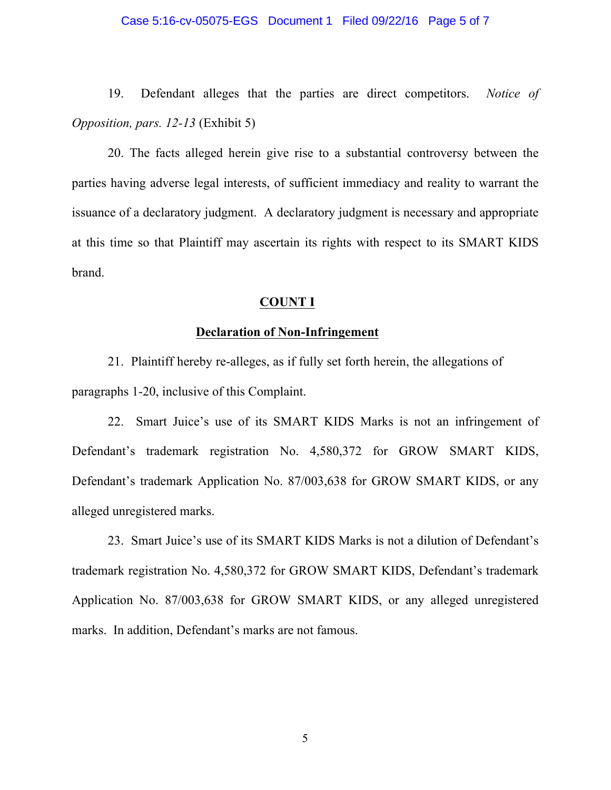#### Case 5:16-cv-05075-EGS Document 1 Filed 09/22/16 Page 5 of 7

19. Defendant alleges that the parties are direct competitors. *Notice of Opposition, pars. 12-13* (Exhibit 5)

20. The facts alleged herein give rise to a substantial controversy between the parties having adverse legal interests, of sufficient immediacy and reality to warrant the issuance of a declaratory judgment. A declaratory judgment is necessary and appropriate at this time so that Plaintiff may ascertain its rights with respect to its SMART KIDS brand.

### **COUNT I**

## **Declaration of Non-Infringement**

21. Plaintiff hereby re-alleges, as if fully set forth herein, the allegations of paragraphs 1-20, inclusive of this Complaint.

22. Smart Juice's use of its SMART KIDS Marks is not an infringement of Defendant's trademark registration No. 4,580,372 for GROW SMART KIDS, Defendant's trademark Application No. 87/003,638 for GROW SMART KIDS, or any alleged unregistered marks.

23. Smart Juice's use of its SMART KIDS Marks is not a dilution of Defendant's trademark registration No. 4,580,372 for GROW SMART KIDS, Defendant's trademark Application No. 87/003,638 for GROW SMART KIDS, or any alleged unregistered marks. In addition, Defendant's marks are not famous.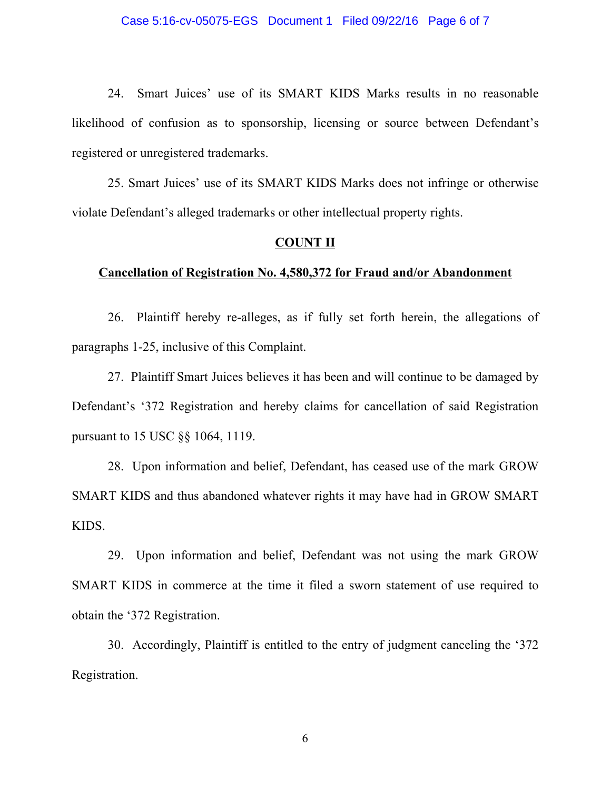24. Smart Juices' use of its SMART KIDS Marks results in no reasonable likelihood of confusion as to sponsorship, licensing or source between Defendant's registered or unregistered trademarks.

25. Smart Juices' use of its SMART KIDS Marks does not infringe or otherwise violate Defendant's alleged trademarks or other intellectual property rights.

### **COUNT II**

### **Cancellation of Registration No. 4,580,372 for Fraud and/or Abandonment**

26. Plaintiff hereby re-alleges, as if fully set forth herein, the allegations of paragraphs 1-25, inclusive of this Complaint.

27. Plaintiff Smart Juices believes it has been and will continue to be damaged by Defendant's '372 Registration and hereby claims for cancellation of said Registration pursuant to 15 USC §§ 1064, 1119.

28. Upon information and belief, Defendant, has ceased use of the mark GROW SMART KIDS and thus abandoned whatever rights it may have had in GROW SMART KIDS.

29. Upon information and belief, Defendant was not using the mark GROW SMART KIDS in commerce at the time it filed a sworn statement of use required to obtain the '372 Registration.

30. Accordingly, Plaintiff is entitled to the entry of judgment canceling the '372 Registration.

6